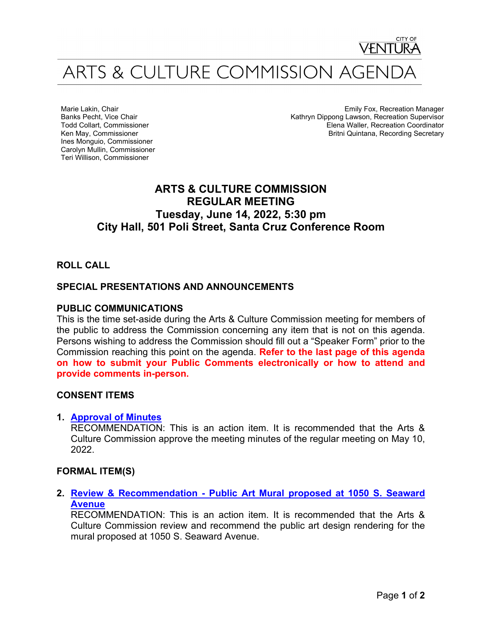

Marie Lakin, Chair Banks Pecht, Vice Chair Todd Collart, Commissioner Ken May, Commissioner Ines Monguio, Commissioner Carolyn Mullin, Commissioner Teri Willison, Commissioner

Emily Fox, Recreation Manager Kathryn Dippong Lawson, Recreation Supervisor Elena Waller, Recreation Coordinator Britni Quintana, Recording Secretary

# **ARTS & CULTURE COMMISSION REGULAR MEETING Tuesday, June 14, 2022, 5:30 pm City Hall, 501 Poli Street, Santa Cruz Conference Room**

# **ROLL CALL**

# **SPECIAL PRESENTATIONS AND ANNOUNCEMENTS**

### **PUBLIC COMMUNICATIONS**

This is the time set-aside during the Arts & Culture Commission meeting for members of the public to address the Commission concerning any item that is not on this agenda. Persons wishing to address the Commission should fill out a "Speaker Form" prior to the Commission reaching this point on the agenda. **Refer to the last page of this agenda on how to submit your Public Comments electronically or how to attend and provide comments in-person.**

#### **CONSENT ITEMS**

#### **1. [Approval of Minutes](https://www.cityofventura.ca.gov/DocumentCenter/View/31748/1---ACC-Minutes-5-10-22)**

RECOMMENDATION: This is an action item. It is recommended that the Arts & Culture Commission approve the meeting minutes of the regular meeting on May 10, 2022.

#### **FORMAL ITEM(S)**

**2. [Review & Recommendation -](https://www.cityofventura.ca.gov/DocumentCenter/View/31745/2---Staff-Report---Mural-Design-Review---1050-S-Seaward-Ave) Public Art Mural proposed at 1050 S. Seaward [Avenue](https://www.cityofventura.ca.gov/DocumentCenter/View/31745/2---Staff-Report---Mural-Design-Review---1050-S-Seaward-Ave)**

RECOMMENDATION: This is an action item. It is recommended that the Arts & Culture Commission review and recommend the public art design rendering for the mural proposed at 1050 S. Seaward Avenue.